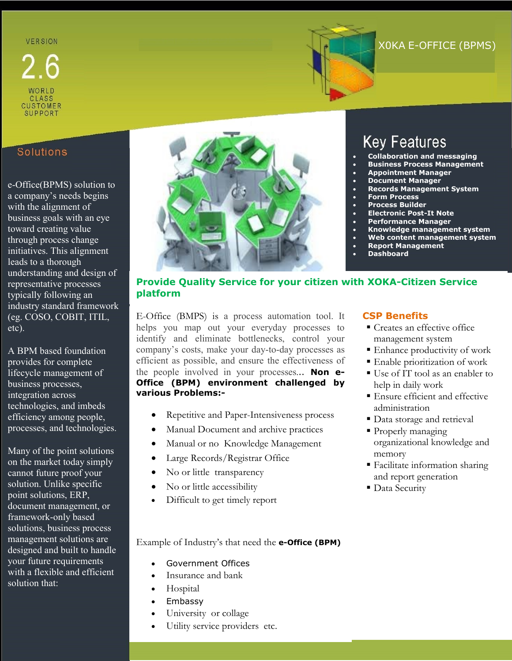## **VERSION**



# X0KA E-OFFICE (BPMS)

### Solutions

WORLD **CLASS** CUSTOMER<br>SUPPORT

e-Office(BPMS) solution to a company's needs begins with the alignment of business goals with an eye toward creating value through process change initiatives. This alignment leads to a thorough understanding and design of representative processes typically following an industry standard framework (eg. COSO, COBIT, ITIL, etc).

A BPM based foundation provides for complete lifecycle management of business processes, integration across technologies, and imbeds efficiency among people, processes, and technologies.

Many of the point solutions on the market today simply cannot future proof your solution. Unlike specific point solutions, ERP, document management, or framework-only based solutions, business process management solutions are designed and built to handle your future requirements with a flexible and efficient solution that:



# **Key Features**

- **Collaboration and messaging**
- **Business Process Management**
- **Appointment Manager**
- **Document Manager**
- **Records Management System**
- **Form Process**
- **Process Builder**
- **Electronic Post-It Note**
- **Performance Manager**
- **Knowledge management system**
- **Web content management system**
- **Report Management**
- **Dashboard**

### **Provide Quality Service for your citizen with XOKA-Citizen Service platform**

E-Office (BMPS) is a process automation tool. It helps you map out your everyday processes to identify and eliminate bottlenecks, control your company's costs, make your day-to-day processes as efficient as possible, and ensure the effectiveness of the people involved in your processes... **Non e-Office (BPM) environment challenged by various Problems:-**

- Repetitive and Paper-Intensiveness process
- Manual Document and archive practices
- Manual or no Knowledge Management
- Large Records/Registrar Office
- No or little transparency
- No or little accessibility
- Difficult to get timely report

### **CSP Benefits**

- Creates an effective office management system
- Enhance productivity of work
- Enable prioritization of work
- Use of IT tool as an enabler to help in daily work
- Ensure efficient and effective administration
- Data storage and retrieval
- **Properly managing** organizational knowledge and memory
- Facilitate information sharing and report generation
- Data Security

Example of Industry's that need the **e-Office (BPM)**

- Government Offices
- Insurance and bank
- Hospital
- Embassy
- University or collage
- Utility service providers etc.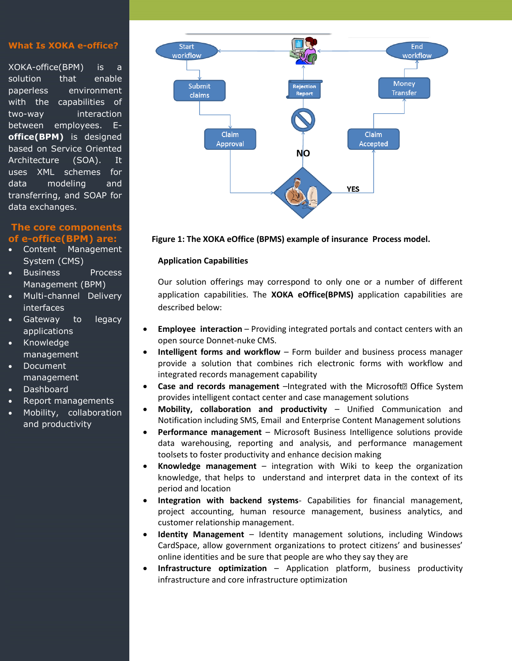#### **What Is XOKA e-office?**

XOKA-office(BPM) is a solution that enable paperless environment with the capabilities of two-way interaction between employees. E**office(BPM)** is designed based on Service Oriented Architecture (SOA). It uses XML schemes for data modeling and transferring, and SOAP for data exchanges.

### **The core components of e-office(BPM) are:**

- Content Management System (CMS)
- Business Process Management (BPM)
- Multi-channel Delivery interfaces
- Gateway to legacy applications
- Knowledge management
- Document management
- Dashboard
- Report managements
- Mobility, collaboration and productivity



#### **Figure 1: The XOKA eOffice (BPMS) example of insurance Process model.**

### **Application Capabilities**

Our solution offerings may correspond to only one or a number of different application capabilities. The **XOKA eOffice(BPMS)** application capabilities are described below:

- **Employee interaction** Providing integrated portals and contact centers with an open source Donnet-nuke CMS.
- **Intelligent forms and workflow** Form builder and business process manager provide a solution that combines rich electronic forms with workflow and integrated records management capability
- **Case and records management** –Integrated with the Microsoft<sup>®</sup> Office System provides intelligent contact center and case management solutions
- **Mobility, collaboration and productivity** Unified Communication and Notification including SMS, Email and Enterprise Content Management solutions
- **Performance management** Microsoft Business Intelligence solutions provide data warehousing, reporting and analysis, and performance management toolsets to foster productivity and enhance decision making
- **Knowledge management**  integration with Wiki to keep the organization knowledge, that helps to understand and interpret data in the context of its period and location
- **Integration with backend systems** Capabilities for financial management, project accounting, human resource management, business analytics, and customer relationship management.
- **Identity Management** Identity management solutions, including Windows CardSpace, allow government organizations to protect citizens' and businesses' online identities and be sure that people are who they say they are
- **Infrastructure optimization** Application platform, business productivity infrastructure and core infrastructure optimization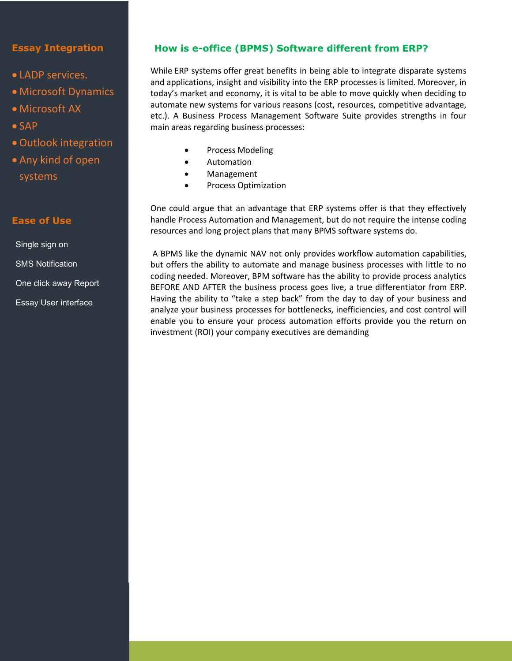### **Essay Integration**

- LADP services.
- Microsoft Dynamics
- Microsoft AX
- $\bullet$  SAP
- Outlook integration
- Any kind of open systems

### **Ease of Use**

Single sign on SMS Notification One click away Report Essay User interface

### **How is e-office (BPMS) Software different from ERP?**

While [ERP systems](http://www.ultimus.com/ERP/) offer great benefits in being able to integrate disparate systems and applications, insight and visibility into the ERP processes is limited. Moreover, in today's market and economy, it is vital to be able to move quickly when deciding to automate new systems for various reasons (cost, resources, competitive advantage, etc.). A Business Process Management Software Suite provides strengths in four main areas regarding business processes:

- Process Modeling
- Automation
- Management
- Process Optimization

One could argue that an advantage that ERP systems offer is that they effectively handle Process Automation and Management, but do not require the intense coding resources and long project plans that many BPMS software systems do.

A BPMS like the dynamic NAV not only provides workflow automation capabilities, but offers the ability to automate and manage business processes with little to no coding needed. Moreover, BPM software has the ability to provide process analytics BEFORE AND AFTER the business process goes live, a true differentiator from ERP. Having the ability to "take a step back" from the day to day of your business and analyze your business processes for bottlenecks, inefficiencies, and cost control will enable you to ensure your process automation efforts provide you the return on investment (ROI) your company executives are demanding